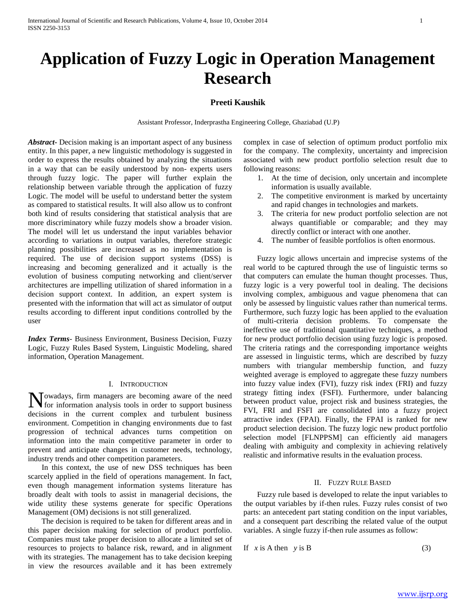# **Application of Fuzzy Logic in Operation Management Research**

# **Preeti Kaushik**

Assistant Professor, Inderprastha Engineering College, Ghaziabad (U.P)

*Abstract***-** Decision making is an important aspect of any business entity. In this paper, a new linguistic methodology is suggested in order to express the results obtained by analyzing the situations in a way that can be easily understood by non- experts users through fuzzy logic. The paper will further explain the relationship between variable through the application of fuzzy Logic. The model will be useful to understand better the system as compared to statistical results. It will also allow us to confront both kind of results considering that statistical analysis that are more discriminatory while fuzzy models show a broader vision. The model will let us understand the input variables behavior according to variations in output variables, therefore strategic planning possibilities are increased as no implementation is required. The use of decision support systems (DSS) is increasing and becoming generalized and it actually is the evolution of business computing networking and client/server architectures are impelling utilization of shared information in a decision support context. In addition, an expert system is presented with the information that will act as simulator of output results according to different input conditions controlled by the user

*Index Terms*- Business Environment, Business Decision, Fuzzy Logic, Fuzzy Rules Based System, Linguistic Modeling, shared information, Operation Management.

#### I. INTRODUCTION

owadays, firm managers are becoming aware of the need **N**owadays, firm managers are becoming aware of the need for information analysis tools in order to support business decisions in the current complex and turbulent business environment. Competition in changing environments due to fast progression of technical advances turns competition on information into the main competitive parameter in order to prevent and anticipate changes in customer needs, technology, industry trends and other competition parameters.

 In this context, the use of new DSS techniques has been scarcely applied in the field of operations management. In fact, even though management information systems literature has broadly dealt with tools to assist in managerial decisions, the wide utility these systems generate for specific Operations Management (OM) decisions is not still generalized.

 The decision is required to be taken for different areas and in this paper decision making for selection of product portfolio. Companies must take proper decision to allocate a limited set of resources to projects to balance risk, reward, and in alignment with its strategies. The management has to take decision keeping in view the resources available and it has been extremely

complex in case of selection of optimum product portfolio mix for the company. The complexity, uncertainty and imprecision associated with new product portfolio selection result due to following reasons:

- 1. At the time of decision, only uncertain and incomplete information is usually available.
- 2. The competitive environment is marked by uncertainty and rapid changes in technologies and markets.
- 3. The criteria for new product portfolio selection are not always quantifiable or comparable; and they may directly conflict or interact with one another.
- 4. The number of feasible portfolios is often enormous.

 Fuzzy logic allows uncertain and imprecise systems of the real world to be captured through the use of linguistic terms so that computers can emulate the human thought processes. Thus, fuzzy logic is a very powerful tool in dealing. The decisions involving complex, ambiguous and vague phenomena that can only be assessed by linguistic values rather than numerical terms. Furthermore, such fuzzy logic has been applied to the evaluation of multi-criteria decision problems. To compensate the ineffective use of traditional quantitative techniques, a method for new product portfolio decision using fuzzy logic is proposed. The criteria ratings and the corresponding importance weights are assessed in linguistic terms, which are described by fuzzy numbers with triangular membership function, and fuzzy weighted average is employed to aggregate these fuzzy numbers into fuzzy value index (FVI), fuzzy risk index (FRI) and fuzzy strategy fitting index (FSFI). Furthermore, under balancing between product value, project risk and business strategies, the FVI, FRI and FSFI are consolidated into a fuzzy project attractive index (FPAI). Finally, the FPAI is ranked for new product selection decision. The fuzzy logic new product portfolio selection model [FLNPPSM] can efficiently aid managers dealing with ambiguity and complexity in achieving relatively realistic and informative results in the evaluation process.

### II. FUZZY RULE BASED

 Fuzzy rule based is developed to relate the input variables to the output variables by if-then rules. Fuzzy rules consist of two parts: an antecedent part stating condition on the input variables, and a consequent part describing the related value of the output variables. A single fuzzy if-then rule assumes as follow:

If  $x$  is A then  $y$  is B (3)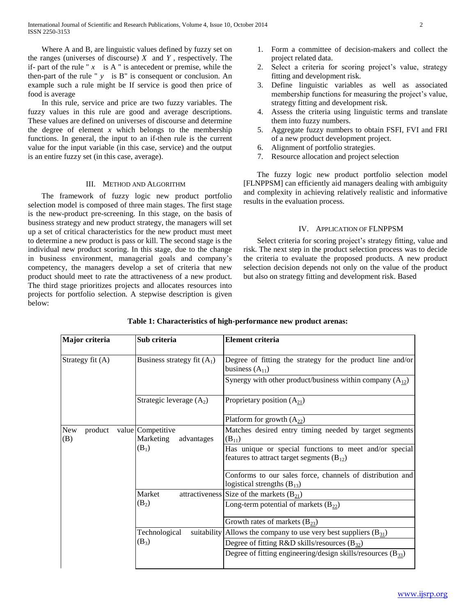Where A and B, are linguistic values defined by fuzzy set on the ranges (universes of discourse) *X* and *Y* , respectively. The if- part of the rule " $x$  is A " is antecedent or premise, while the then-part of the rule " $y$  is B" is consequent or conclusion. An example such a rule might be If service is good then price of food is average

 In this rule, service and price are two fuzzy variables. The fuzzy values in this rule are good and average descriptions. These values are defined on universes of discourse and determine the degree of element  $x$  which belongs to the membership functions. In general, the input to an if-then rule is the current value for the input variable (in this case, service) and the output is an entire fuzzy set (in this case, average).

# III. METHOD AND ALGORITHM

 The framework of fuzzy logic new product portfolio selection model is composed of three main stages. The first stage is the new-product pre-screening. In this stage, on the basis of business strategy and new product strategy, the managers will set up a set of critical characteristics for the new product must meet to determine a new product is pass or kill. The second stage is the individual new product scoring. In this stage, due to the change in business environment, managerial goals and company"s competency, the managers develop a set of criteria that new product should meet to rate the attractiveness of a new product. The third stage prioritizes projects and allocates resources into projects for portfolio selection. A stepwise description is given below:

- 1. Form a committee of decision-makers and collect the project related data.
- 2. Select a criteria for scoring project's value, strategy fitting and development risk.
- 3. Define linguistic variables as well as associated membership functions for measuring the project's value, strategy fitting and development risk.
- 4. Assess the criteria using linguistic terms and translate them into fuzzy numbers.
- 5. Aggregate fuzzy numbers to obtain FSFI, FVI and FRI of a new product development project.
- 6. Alignment of portfolio strategies.
- 7. Resource allocation and project selection

 The fuzzy logic new product portfolio selection model [FLNPPSM] can efficiently aid managers dealing with ambiguity and complexity in achieving relatively realistic and informative results in the evaluation process.

### IV. APPLICATION OF FLNPPSM

Select criteria for scoring project's strategy fitting, value and risk. The next step in the product selection process was to decide the criteria to evaluate the proposed products. A new product selection decision depends not only on the value of the product but also on strategy fitting and development risk. Based

| Major criteria        | Sub criteria                  | <b>Element criteria</b>                                                           |  |  |
|-----------------------|-------------------------------|-----------------------------------------------------------------------------------|--|--|
| Strategy fit (A)      | Business strategy fit $(A_1)$ | Degree of fitting the strategy for the product line and/or<br>business $(A_{11})$ |  |  |
|                       |                               | Synergy with other product/business within company $(A_{12})$                     |  |  |
|                       | Strategic leverage $(A_2)$    | Proprietary position $(A_{21})$                                                   |  |  |
|                       |                               | Platform for growth $(A_{22})$                                                    |  |  |
| <b>New</b><br>product | value Competitive             | Matches desired entry timing needed by target segments                            |  |  |
| (B)                   | Marketing<br>advantages       | $(B_{11})$                                                                        |  |  |
|                       | $(B_1)$                       | Has unique or special functions to meet and/or special                            |  |  |
|                       |                               | features to attract target segments $(B_{12})$                                    |  |  |
|                       |                               | Conforms to our sales force, channels of distribution and                         |  |  |
|                       |                               | logistical strengths $(B_{13})$                                                   |  |  |
|                       | Market                        | attractiveness Size of the markets $(B_{21})$                                     |  |  |
|                       | $(B_2)$                       | Long-term potential of markets $(B_{22})$                                         |  |  |
|                       |                               | Growth rates of markets $(B_{23})$                                                |  |  |
|                       | Technological                 | suitability Allows the company to use very best suppliers $(B_{31})$              |  |  |
|                       | $(B_3)$                       | Degree of fitting R&D skills/resources $(B_{32})$                                 |  |  |
|                       |                               | Degree of fitting engineering/design skills/resources $(B_{33})$                  |  |  |
|                       |                               |                                                                                   |  |  |

# **Table 1: Characteristics of high-performance new product arenas:**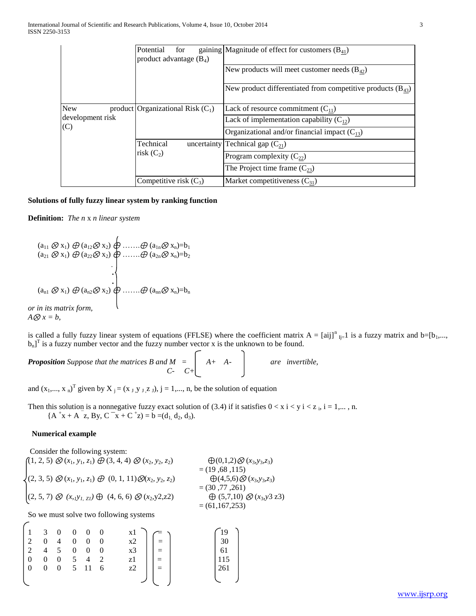|                  | Potential<br>for<br>product advantage $(B_4)$ | gaining Magnitude of effect for customers $(B_{41})$            |  |  |
|------------------|-----------------------------------------------|-----------------------------------------------------------------|--|--|
|                  |                                               | New products will meet customer needs $(B_{42})$                |  |  |
|                  |                                               | New product differentiated from competitive products $(B_{43})$ |  |  |
| <b>New</b>       | product Organizational Risk $(C_1)$           | Lack of resource commitment $(C_{11})$                          |  |  |
| development risk |                                               | Lack of implementation capability $(C_{12})$                    |  |  |
| (C)              |                                               | Organizational and/or financial impact $(C_{13})$               |  |  |
|                  | Technical                                     | uncertainty Technical gap $(C_{21})$                            |  |  |
|                  | risk $(C_2)$                                  | Program complexity $(C_{22})$                                   |  |  |
|                  |                                               | The Project time frame $(C_{23})$                               |  |  |
|                  | Competitive risk $(C_3)$                      | Market competitiveness $(C_{31})$                               |  |  |

# **Solutions of fully fuzzy linear system by ranking function**

**Definition:** *The n* x *n linear system*

$$
(a_{11} \otimes x_1) \oplus (a_{12} \otimes x_2) \oplus \dots \oplus (a_{1n} \otimes x_n) = b_1
$$
  
\n
$$
(a_{21} \otimes x_1) \oplus (a_{22} \otimes x_2) \oplus \dots \oplus (a_{2n} \otimes x_n) = b_2
$$
  
\n
$$
\cdot \cdot \cdot \cdot \cdot \cdot \oplus (a_{nn} \otimes x_n) = b_n
$$
  
\nor in its matrix form,  
\n
$$
A \otimes x = b,
$$

is called a fully fuzzy linear system of equations (FFLSE) where the coefficient matrix  $A = [aij]^n_{i=1}$  is a fuzzy matrix and b= $[b_1,...,b_n]$  $b_n$ <sup>T</sup> is a fuzzy number vector and the fuzzy number vector x is the unknown to be found.

**Proposition** Suppose that the matrices B and  $M = \begin{bmatrix} A+ A- \end{bmatrix}$  are invertible,  *C- C+*

and  $(x_1,...,x_n)^T$  given by  $X_j = (x_j, y_j, z_j), j = 1,..., n$ , be the solution of equation

Then this solution is a nonnegative fuzzy exact solution of (3.4) if it satisfies  $0 < x$  i  $< y$  i  $< z$  i, i = 1,..., n.  ${A^+x + A^-z, By, C^-x + C^+z} = b = (d_1, d_2, d_3).$ 

# **Numerical example**

*A*⊗ *x = b,* 

 $\sqrt{2}$ 

Consider the following system:  $(1, 2, 5) \otimes (x_1, y_1, z_1) \oplus (3, 4, 4) \otimes (x_2, y_2, z_2) \qquad \bigoplus (0, 1, 2) \otimes (x_3, y_3, z_3)$  $=(19,68,115)$  $(2, 3, 5) \otimes (x_1, y_1, z_1) \oplus (0, 1, 11) \otimes (x_2, y_2, z_2) \qquad \bigoplus (4, 5, 6) \otimes (x_3, y_3, z_3)$  $=(30, 77, 261)$  $(2, 5, 7) \otimes (x,1, y_1, z_1) \oplus (4, 6, 6) \otimes (x_2, y_2, z_2) \qquad \bigoplus (5,7,10) \otimes (x_3, y_3 \cdot z_3)$  $= (61, 167, 253)$ 

So we must solve two following systems

| $1 \quad 3 \quad 0 \quad 0 \quad 0 \quad 0$                    |             |                |                |                   | $\begin{bmatrix} x1 \\ x2 \\ x3 \\ z1 \\ z2 \end{bmatrix}$ = $\begin{bmatrix} = \\ = \\ = \\ = \\ = \end{bmatrix}$ | $\begin{cases}\n19 \\ 30 \\ 61\n\end{cases}$ |
|----------------------------------------------------------------|-------------|----------------|----------------|-------------------|--------------------------------------------------------------------------------------------------------------------|----------------------------------------------|
| $\begin{vmatrix} 2 & 0 \end{vmatrix}$                          |             | $\overline{4}$ | $\overline{0}$ | $0 \quad 0$       |                                                                                                                    |                                              |
| $\begin{array}{ccccccccc}\n2 & 4 & 5 & 0 & 0 & 0\n\end{array}$ |             |                |                |                   |                                                                                                                    |                                              |
| $\overline{0}$                                                 | $0 \quad 0$ |                |                | $5\quad 4\quad 2$ |                                                                                                                    | $\frac{1}{115}$                              |
| $\overline{0}$                                                 | $0 \quad 0$ |                |                | 5 11 6            |                                                                                                                    | 261                                          |
|                                                                |             |                |                |                   |                                                                                                                    |                                              |
|                                                                |             |                |                |                   |                                                                                                                    |                                              |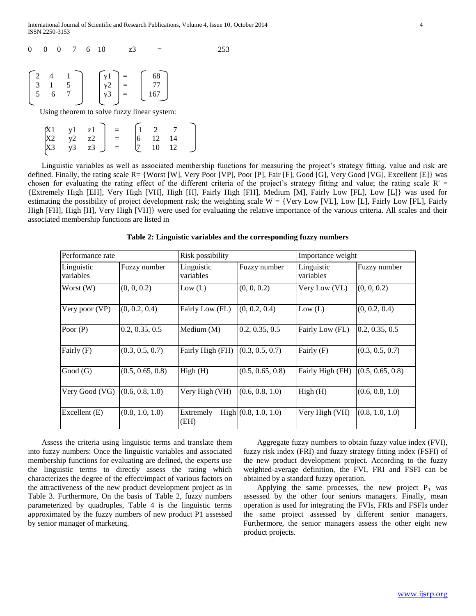| $\theta$ |  | 7 | - 6 | 10 | z3                                                                                                                                                                 |  |  |  |
|----------|--|---|-----|----|--------------------------------------------------------------------------------------------------------------------------------------------------------------------|--|--|--|
|          |  |   |     |    | $\begin{bmatrix} 2 & 4 & 1 \\ 3 & 1 & 5 \\ 5 & 6 & 7 \end{bmatrix}$ $\begin{bmatrix} y1 \\ y2 \\ y3 \end{bmatrix} = \begin{bmatrix} 68 \\ 77 \\ 167 \end{bmatrix}$ |  |  |  |
|          |  |   |     |    | Using theorem to solve fuzzy linear system:                                                                                                                        |  |  |  |
|          |  |   |     |    | $\begin{array}{c cc} \text{y1} & \text{z1} \\ \text{y2} & \text{z2} \end{array}$ = $\begin{array}{c cc} 1 & 2 & 7 \\ 6 & 12 & 14 \end{array}$                      |  |  |  |

 $X3 \t y3 \t z3 \t J = \t (7 \t 10 \t 12$ 

Linguistic variables as well as associated membership functions for measuring the project's strategy fitting, value and risk are defined. Finally, the rating scale R= {Worst [W], Very Poor [VP], Poor [P], Fair [F], Good [G], Very Good [VG], Excellent [E]} was chosen for evaluating the rating effect of the different criteria of the project's strategy fitting and value; the rating scale  $R' =$ {Extremely High [EH], Very High [VH], High [H], Fairly High [FH], Medium [M], Fairly Low [FL], Low [L]} was used for estimating the possibility of project development risk; the weighting scale  $W = \{Very Low [V_L], Low [L], Fairly Low [FL], Fairly$ High [FH], High [H], Very High [VH]} were used for evaluating the relative importance of the various criteria. All scales and their associated membership functions are listed in

| Performance rate        |                  | Risk possibility        |                        | Importance weight       |                  |
|-------------------------|------------------|-------------------------|------------------------|-------------------------|------------------|
| Linguistic<br>variables | Fuzzy number     | Linguistic<br>variables | Fuzzy number           | Linguistic<br>variables | Fuzzy number     |
| Worst $(W)$             | (0, 0, 0.2)      | Low (L)                 | (0, 0, 0.2)            | Very Low (VL)           | (0, 0, 0.2)      |
| Very poor (VP)          | (0, 0.2, 0.4)    | Fairly Low (FL)         | (0, 0.2, 0.4)          | Low (L)                 | (0, 0.2, 0.4)    |
| Poor $(P)$              | 0.2, 0.35, 0.5   | Medium $(M)$            | 0.2, 0.35, 0.5         | Fairly Low (FL)         | 0.2, 0.35, 0.5   |
| Fairly (F)              | (0.3, 0.5, 0.7)  | Fairly High (FH)        | (0.3, 0.5, 0.7)        | Fairly (F)              | (0.3, 0.5, 0.7)  |
| Good(G)                 | (0.5, 0.65, 0.8) | High(H)                 | (0.5, 0.65, 0.8)       | Fairly High (FH)        | (0.5, 0.65, 0.8) |
| Very Good (VG)          | (0.6, 0.8, 1.0)  | Very High (VH)          | (0.6, 0.8, 1.0)        | High(H)                 | (0.6, 0.8, 1.0)  |
| Excellent (E)           | (0.8, 1.0, 1.0)  | Extremely<br>(EH)       | High $(0.8, 1.0, 1.0)$ | Very High (VH)          | (0.8, 1.0, 1.0)  |

**Table 2: Linguistic variables and the corresponding fuzzy numbers**

 Assess the criteria using linguistic terms and translate them into fuzzy numbers: Once the linguistic variables and associated membership functions for evaluating are defined, the experts use the linguistic terms to directly assess the rating which characterizes the degree of the effect/impact of various factors on the attractiveness of the new product development project as in Table 3. Furthermore, On the basis of Table 2, fuzzy numbers parameterized by quadruples, Table 4 is the linguistic terms approximated by the fuzzy numbers of new product P1 assessed by senior manager of marketing.

 Aggregate fuzzy numbers to obtain fuzzy value index (FVI), fuzzy risk index (FRI) and fuzzy strategy fitting index (FSFI) of the new product development project. According to the fuzzy weighted-average definition, the FVI, FRI and FSFI can be obtained by a standard fuzzy operation.

Applying the same processes, the new project  $P_1$  was assessed by the other four seniors managers. Finally, mean operation is used for integrating the FVIs, FRIs and FSFIs under the same project assessed by different senior managers. Furthermore, the senior managers assess the other eight new product projects.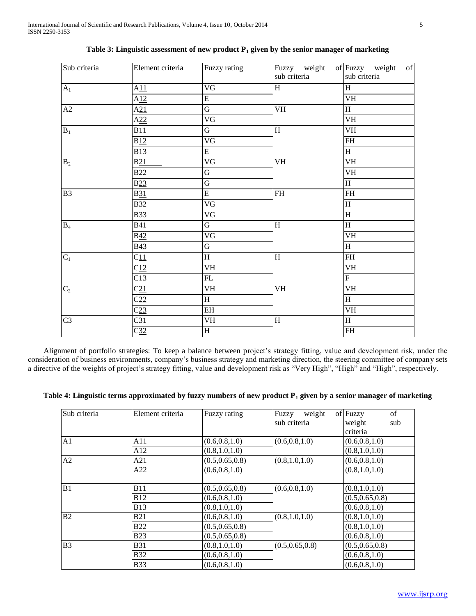| Sub criteria   | Element criteria | Fuzzy rating            | sub criteria                      | Fuzzy weight of Fuzzy weight of<br>sub criteria |
|----------------|------------------|-------------------------|-----------------------------------|-------------------------------------------------|
| A <sub>1</sub> | A11              | $\overline{\text{VG}}$  | H                                 | H                                               |
|                | A12              | $\overline{E}$          |                                   | $\overline{\text{VH}}$                          |
| A2             | A21              | $\overline{G}$          | $\overline{\text{VH}}$            | $\overline{H}$                                  |
|                | A22              | $\overline{\text{VG}}$  |                                   | VH                                              |
| $B_1$          | B11              | G                       | $\,$ H                            | <b>VH</b>                                       |
|                | B12              | $\overline{\text{VG}}$  |                                   | $\mathbf{FH}% _{2}(X)$                          |
|                | B13              | ${\bf E}$               |                                   | $\, {\rm H}$                                    |
| B <sub>2</sub> | B21              | $\overline{\text{VG}}$  | $\overline{\text{VH}}$            | <b>VH</b>                                       |
|                | B22              | $\overline{G}$          |                                   | VH                                              |
|                | B23              | $\overline{G}$          |                                   | $\overline{H}$                                  |
| B3             | <b>B31</b>       | $\overline{\mathrm{E}}$ | $\ensuremath{\mathsf{FH}}\xspace$ | $FH$                                            |
|                | <b>B32</b>       | $\overline{\text{VG}}$  |                                   | $\overline{H}$                                  |
|                | <b>B33</b>       | VG                      |                                   | $\overline{H}$                                  |
| $B_4$          | <b>B41</b>       | G                       | $\, {\rm H}$                      | H                                               |
|                | <b>B42</b>       | VG                      |                                   | <b>VH</b>                                       |
|                | <b>B43</b>       | G                       |                                   | $\overline{H}$                                  |
| $C_1$          | C11              | $\overline{\rm H}$      | $\rm H$                           | $\mathbf{FH}% _{2}(X)$                          |
|                | $C_{12}$         | $\overline{\text{VH}}$  |                                   | VH                                              |
|                | C13              | FL                      |                                   | $\overline{F}$                                  |
| C <sub>2</sub> | C <sub>21</sub>  | VH                      | $\mathbf{V}\mathbf{H}$            | VH                                              |
|                | C22              | H                       |                                   | H                                               |
|                | C <sub>23</sub>  | EH                      |                                   | <b>VH</b>                                       |
| C <sub>3</sub> | C31              | VH                      | $\, {\rm H}$                      | $\overline{H}$                                  |
|                | C <sub>32</sub>  | $\overline{\rm H}$      |                                   | $\overline{\text{FH}}$                          |

| Table 3: Linguistic assessment of new product $P_1$ given by the senior manager of marketing |  |  |  |
|----------------------------------------------------------------------------------------------|--|--|--|
|----------------------------------------------------------------------------------------------|--|--|--|

Alignment of portfolio strategies: To keep a balance between project's strategy fitting, value and development risk, under the consideration of business environments, company"s business strategy and marketing direction, the steering committee of company sets a directive of the weights of project's strategy fitting, value and development risk as "Very High", "High" and "High", respectively.

| Table 4: Linguistic terms approximated by fuzzy numbers of new product $P_1$ given by a senior manager of marketing |  |
|---------------------------------------------------------------------------------------------------------------------|--|
|---------------------------------------------------------------------------------------------------------------------|--|

| Sub criteria   | Element criteria | Fuzzy rating     | Fuzzy<br>weight  | of Fuzzy<br>of   |
|----------------|------------------|------------------|------------------|------------------|
|                |                  |                  | sub criteria     | weight<br>sub    |
|                |                  |                  |                  | criteria         |
| A <sub>1</sub> | A11              | (0.6, 0.8, 1.0)  | (0.6, 0.8, 1.0)  | (0.6, 0.8, 1.0)  |
|                | A12              | (0.8, 1.0, 1.0)  |                  | (0.8, 1.0, 1.0)  |
| A <sub>2</sub> | A21              | (0.5, 0.65, 0.8) | (0.8, 1.0, 1.0)  | (0.6, 0.8, 1.0)  |
|                | A22              | (0.6, 0.8, 1.0)  |                  | (0.8, 1.0, 1.0)  |
|                |                  |                  |                  |                  |
| B1             | <b>B11</b>       | (0.5, 0.65, 0.8) | (0.6, 0.8, 1.0)  | (0.8, 1.0, 1.0)  |
|                | <b>B12</b>       | (0.6, 0.8, 1.0)  |                  | (0.5, 0.65, 0.8) |
|                | <b>B13</b>       | (0.8, 1.0, 1.0)  |                  | (0.6, 0.8, 1.0)  |
| B <sub>2</sub> | <b>B21</b>       | (0.6, 0.8, 1.0)  | (0.8, 1.0, 1.0)  | (0.8, 1.0, 1.0)  |
|                | <b>B22</b>       | (0.5, 0.65, 0.8) |                  | (0.8, 1.0, 1.0)  |
|                | <b>B23</b>       | (0.5, 0.65, 0.8) |                  | (0.6, 0.8, 1.0)  |
| B <sub>3</sub> | <b>B31</b>       | (0.8, 1.0, 1.0)  | (0.5, 0.65, 0.8) | (0.5, 0.65, 0.8) |
|                | <b>B32</b>       | (0.6, 0.8, 1.0)  |                  | (0.6, 0.8, 1.0)  |
|                | <b>B33</b>       | (0.6, 0.8, 1.0)  |                  | (0.6, 0.8, 1.0)  |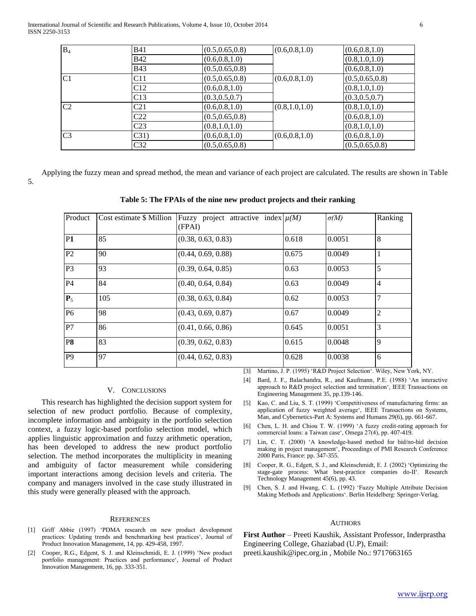International Journal of Scientific and Research Publications, Volume 4, Issue 10, October 2014 6 ISSN 2250-3153

| $B_4$          | <b>B41</b>      | (0.5, 0.65, 0.8) | (0.6, 0.8, 1.0) | (0.6, 0.8, 1.0)  |
|----------------|-----------------|------------------|-----------------|------------------|
|                | <b>B42</b>      | (0.6, 0.8, 1.0)  |                 | (0.8, 1.0, 1.0)  |
|                | <b>B43</b>      | (0.5, 0.65, 0.8) |                 | (0.6, 0.8, 1.0)  |
| C <sub>1</sub> | C11             | (0.5, 0.65, 0.8) | (0.6, 0.8, 1.0) | (0.5, 0.65, 0.8) |
|                | C12             | (0.6, 0.8, 1.0)  |                 | (0.8, 1.0, 1.0)  |
|                | C13             | (0.3, 0.5, 0.7)  |                 | (0.3, 0.5, 0.7)  |
| C <sub>2</sub> | C <sub>21</sub> | (0.6, 0.8, 1.0)  | (0.8, 1.0, 1.0) | (0.8, 1.0, 1.0)  |
|                | C <sub>22</sub> | (0.5, 0.65, 0.8) |                 | (0.6, 0.8, 1.0)  |
|                | C <sub>23</sub> | (0.8, 1.0, 1.0)  |                 | (0.8, 1.0, 1.0)  |
| C <sub>3</sub> | C31)            | (0.6, 0.8, 1.0)  | (0.6, 0.8, 1.0) | (0.6, 0.8, 1.0)  |
|                | C32             | (0.5, 0.65, 0.8) |                 | (0.5, 0.65, 0.8) |
|                |                 |                  |                 |                  |

 Applying the fuzzy mean and spread method, the mean and variance of each project are calculated. The results are shown in Table 5.

|  |  | Table 5: The FPAIs of the nine new product projects and their ranking |
|--|--|-----------------------------------------------------------------------|
|  |  |                                                                       |

| Product        | Cost estimate \$ Million | Fuzzy project attractive index $\mu(M)$<br>(FPAI) |       | $\sigma(M)$ | Ranking        |
|----------------|--------------------------|---------------------------------------------------|-------|-------------|----------------|
| <b>P1</b>      | 85                       | (0.38, 0.63, 0.83)                                | 0.618 | 0.0051      | 8              |
| P <sub>2</sub> | 90                       | (0.44, 0.69, 0.88)                                | 0.675 | 0.0049      |                |
| P <sub>3</sub> | 93                       | (0.39, 0.64, 0.85)                                | 0.63  | 0.0053      | $\overline{5}$ |
| P <sub>4</sub> | 84                       | (0.40, 0.64, 0.84)                                | 0.63  | 0.0049      | $\overline{4}$ |
| $P_5$          | 105                      | (0.38, 0.63, 0.84)                                | 0.62  | 0.0053      | $\overline{7}$ |
| P <sub>6</sub> | 98                       | (0.43, 0.69, 0.87)                                | 0.67  | 0.0049      | $\overline{2}$ |
| P7             | 86                       | (0.41, 0.66, 0.86)                                | 0.645 | 0.0051      | $\overline{3}$ |
| P <sub>8</sub> | 83                       | (0.39, 0.62, 0.83)                                | 0.615 | 0.0048      | $\overline{9}$ |
| P <sub>9</sub> | 97                       | (0.44, 0.62, 0.83)                                | 0.628 | 0.0038      | 6              |

[3] Martino, J. P. (1995) "R&D Project Selection". Wiley, New York, NY.

- [4] Bard, J. F., Balachandra, R., and Kaufmann, P.E. (1988) 'An interactive approach to R&D project selection and termination", IEEE Transactions on Engineering Management 35, pp.139-146.
- [5] Kao, C. and Liu, S. T. (1999) "Competitiveness of manufacturing firms: an application of fuzzy weighted average", IEEE Transactions on Systems, Man, and Cybernetics-Part A: Systems and Humans 29(6), pp. 661-667.
- [6] Chen, L. H. and Chiou T. W. (1999) 'A fuzzy credit-rating approach for commercial loans: a Taiwan case", Omega 27(4), pp. 407-419.
- [7] Lin, C. T. (2000) 'A knowledge-based method for bid/no-bid decision making in project management", Proceedings of PMI Research Conference 2000 Paris, France: pp. 347-355.
- [8] Cooper, R. G., Edgett, S. J., and Kleinschmidt, E. J. (2002) "Optimizing the stage-gate process: What best-practice companies do-II'. Research Technology Management 45(6), pp. 43.
- [9] Chen, S. J. and Hwang, C. L. (1992) "Fuzzy Multiple Attribute Decision Making Methods and Applications". Berlin Heidelberg: Springer-Verlag.

AUTHORS **First Author** – Preeti Kaushik, Assistant Professor, Inderprastha

Engineering College, Ghaziabad (U.P), Email: preeti.kaushik@ipec.org.in , Mobile No.: 9717663165

[1] Griff Abbie (1997) "PDMA research on new product development practices: Updating trends and benchmarking best practices', Journal of Product Innovation Management, 14, pp. 429-458, 1997.

**REFERENCES** 

this study were generally pleased with the approach.

V. CONCLUSIONS This research has highlighted the decision support system for selection of new product portfolio. Because of complexity, incomplete information and ambiguity in the portfolio selection context, a fuzzy logic-based portfolio selection model, which applies linguistic approximation and fuzzy arithmetic operation, has been developed to address the new product portfolio selection. The method incorporates the multiplicity in meaning and ambiguity of factor measurement while considering important interactions among decision levels and criteria. The company and managers involved in the case study illustrated in

[2] Cooper, R.G., Edgent, S. J. and Kleinschmidi, E. J. (1999) "New product portfolio management: Practices and performance', Journal of Product Innovation Management, 16, pp. 333-351.